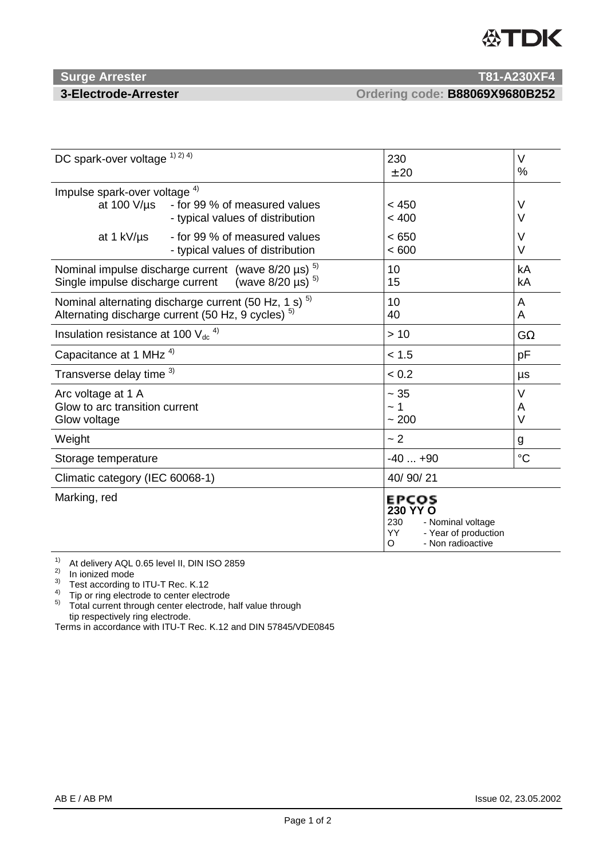# 公TDK

### **Surge Arrester T81-A230XF4**

**3-Electrode-Arrester Ordering code: B88069X9680B252**

| DC spark-over voltage 1) 2) 4)                                                                                                             |                                                                   | 230<br>± 20                                                                                                   | $\vee$<br>$\%$   |
|--------------------------------------------------------------------------------------------------------------------------------------------|-------------------------------------------------------------------|---------------------------------------------------------------------------------------------------------------|------------------|
| Impulse spark-over voltage <sup>4)</sup><br>at 100 $V/\mu s$                                                                               | - for 99 % of measured values<br>- typical values of distribution | < 450<br>< 400                                                                                                | V<br>$\vee$      |
| at 1 kV/µs                                                                                                                                 | - for 99 % of measured values<br>- typical values of distribution | < 650<br>< 600                                                                                                | $\vee$<br>$\vee$ |
| Nominal impulse discharge current (wave $8/20 \mu s$ ) <sup>5)</sup><br>(wave $8/20 \,\mu s$ ) $^{5)}$<br>Single impulse discharge current |                                                                   | 10<br>15                                                                                                      | kA<br>kA         |
| Nominal alternating discharge current (50 Hz, 1 s) <sup>5)</sup><br>Alternating discharge current (50 Hz, 9 cycles) <sup>5)</sup>          |                                                                   | 10<br>40                                                                                                      | A<br>A           |
| Insulation resistance at 100 $V_{dc}$ <sup>4)</sup>                                                                                        |                                                                   | >10                                                                                                           | $G\Omega$        |
| Capacitance at 1 MHz <sup>4)</sup>                                                                                                         |                                                                   | < 1.5                                                                                                         | pF               |
| Transverse delay time 3)                                                                                                                   |                                                                   | < 0.2                                                                                                         | μs               |
| Arc voltage at 1 A<br>Glow to arc transition current<br>Glow voltage                                                                       |                                                                   | ~1.35<br>$\sim$ 1<br>~200                                                                                     | V<br>A<br>$\vee$ |
| Weight                                                                                                                                     |                                                                   | ~2                                                                                                            | g                |
| Storage temperature                                                                                                                        |                                                                   | $-40+90$                                                                                                      | $\rm ^{\circ}C$  |
| Climatic category (IEC 60068-1)                                                                                                            |                                                                   | 40/90/21                                                                                                      |                  |
| Marking, red                                                                                                                               |                                                                   | <b>EPCOS</b><br>230 YY O<br>230<br>- Nominal voltage<br>YY.<br>- Year of production<br>- Non radioactive<br>O |                  |

<sup>1)</sup> At delivery AQL 0.65 level II, DIN ISO 2859<br><sup>2)</sup> In ionized mode<br><sup>3)</sup> Test according to ITU-T Rec. K.12

<sup>4)</sup> Tip or ring electrode to center electrode<br><sup>5)</sup> Total current through center electrode, half value through tip respectively ring electrode.

Terms in accordance with ITU-T Rec. K.12 and DIN 57845/VDE0845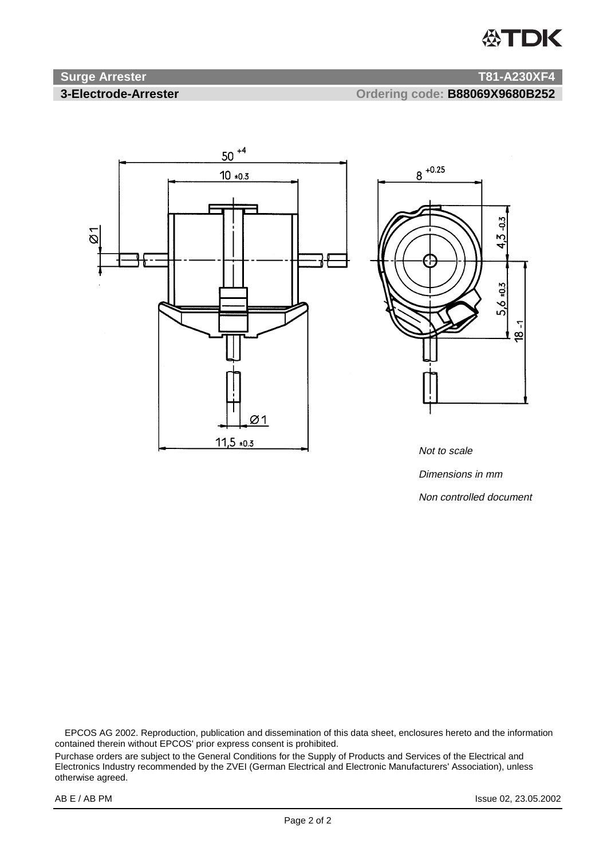## **公TDK**

### **Surge Arrester T81-A230XF4**

**3-Electrode-Arrester Ordering code: B88069X9680B252**





Not to scale Dimensions in mm Non controlled document

 EPCOS AG 2002. Reproduction, publication and dissemination of this data sheet, enclosures hereto and the information contained therein without EPCOS' prior express consent is prohibited.

Purchase orders are subject to the General Conditions for the Supply of Products and Services of the Electrical and Electronics Industry recommended by the ZVEI (German Electrical and Electronic Manufacturers' Association), unless otherwise agreed.